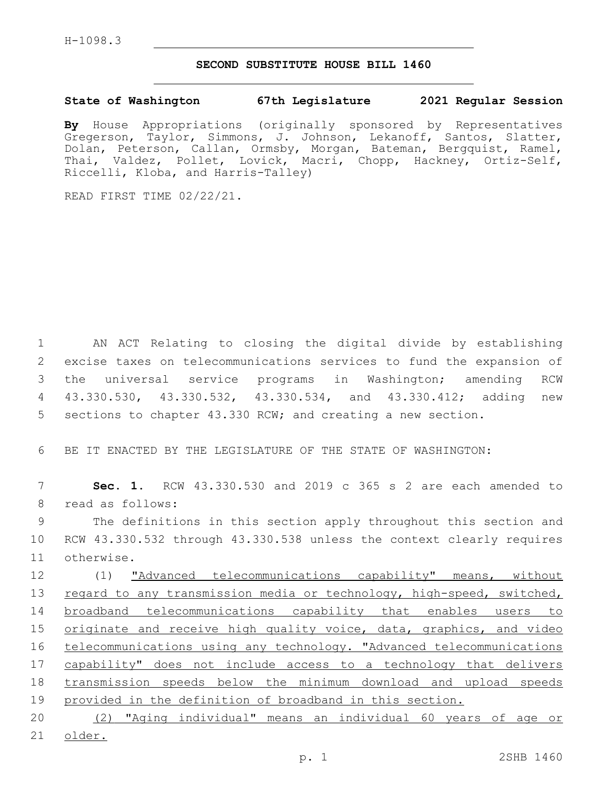## **SECOND SUBSTITUTE HOUSE BILL 1460**

## **State of Washington 67th Legislature 2021 Regular Session**

**By** House Appropriations (originally sponsored by Representatives Gregerson, Taylor, Simmons, J. Johnson, Lekanoff, Santos, Slatter, Dolan, Peterson, Callan, Ormsby, Morgan, Bateman, Bergquist, Ramel, Thai, Valdez, Pollet, Lovick, Macri, Chopp, Hackney, Ortiz-Self, Riccelli, Kloba, and Harris-Talley)

READ FIRST TIME 02/22/21.

 AN ACT Relating to closing the digital divide by establishing excise taxes on telecommunications services to fund the expansion of the universal service programs in Washington; amending RCW 43.330.530, 43.330.532, 43.330.534, and 43.330.412; adding new sections to chapter 43.330 RCW; and creating a new section.

6 BE IT ENACTED BY THE LEGISLATURE OF THE STATE OF WASHINGTON:

7 **Sec. 1.** RCW 43.330.530 and 2019 c 365 s 2 are each amended to 8 read as follows:

9 The definitions in this section apply throughout this section and 10 RCW 43.330.532 through 43.330.538 unless the context clearly requires 11 otherwise.

12 (1) "Advanced telecommunications capability" means, without 13 regard to any transmission media or technology, high-speed, switched, 14 broadband telecommunications capability that enables users to 15 originate and receive high quality voice, data, graphics, and video 16 telecommunications using any technology. "Advanced telecommunications 17 capability" does not include access to a technology that delivers 18 transmission speeds below the minimum download and upload speeds 19 provided in the definition of broadband in this section.

20 (2) "Aging individual" means an individual 60 years of age or 21 older.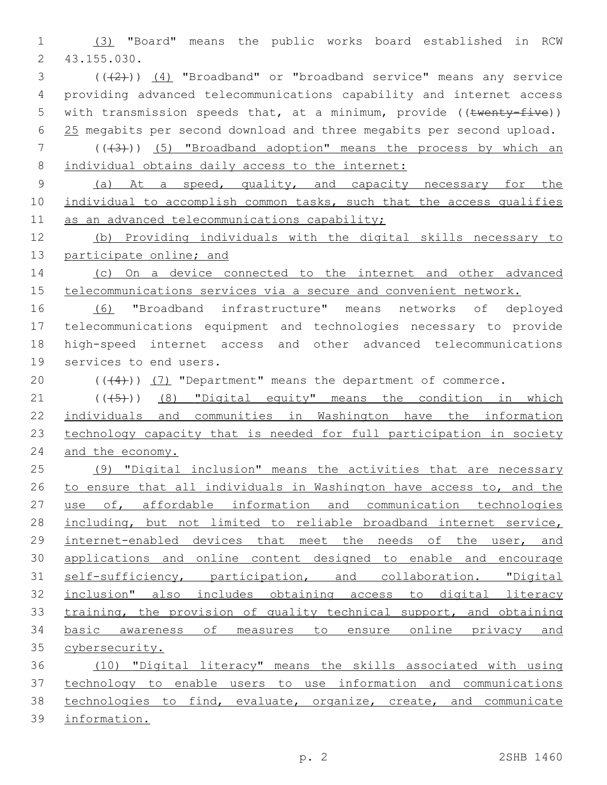(3) "Board" means the public works board established in RCW 43.155.030.2

- $(1+2)$ )  $(4)$  "Broadband" or "broadband service" means any service providing advanced telecommunications capability and internet access 5 with transmission speeds that, at a minimum, provide ((twenty-five)) 25 megabits per second download and three megabits per second upload.
- 7 (( $(43)$ )) (5) "Broadband adoption" means the process by which an 8 individual obtains daily access to the internet:
- (a) At a speed, quality, and capacity necessary for the 10 individual to accomplish common tasks, such that the access qualifies 11 as an advanced telecommunications capability;

 (b) Providing individuals with the digital skills necessary to 13 participate online; and

14 (c) On a device connected to the internet and other advanced telecommunications services via a secure and convenient network.

 (6) "Broadband infrastructure" means networks of deployed telecommunications equipment and technologies necessary to provide high-speed internet access and other advanced telecommunications 19 services to end users.

20  $((+4))$   $(7)$  "Department" means the department of commerce.

  $((+5+))$   $(8)$  "Digital equity" means the condition in which individuals and communities in Washington have the information 23 technology capacity that is needed for full participation in society and the economy.

 (9) "Digital inclusion" means the activities that are necessary to ensure that all individuals in Washington have access to, and the use of, affordable information and communication technologies including, but not limited to reliable broadband internet service, 29 internet-enabled devices that meet the needs of the user, and applications and online content designed to enable and encourage self-sufficiency, participation, and collaboration. "Digital inclusion" also includes obtaining access to digital literacy training, the provision of quality technical support, and obtaining basic awareness of measures to ensure online privacy and 35 cybersecurity.

 (10) "Digital literacy" means the skills associated with using technology to enable users to use information and communications technologies to find, evaluate, organize, create, and communicate information.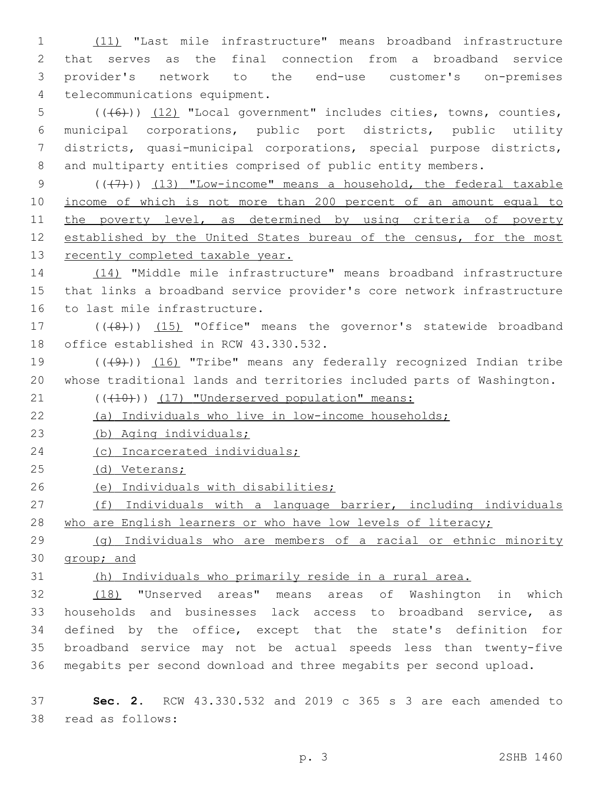(11) "Last mile infrastructure" means broadband infrastructure that serves as the final connection from a broadband service provider's network to the end-use customer's on-premises 4 telecommunications equipment.

 (((6))) (12) "Local government" includes cities, towns, counties, municipal corporations, public port districts, public utility districts, quasi-municipal corporations, special purpose districts, and multiparty entities comprised of public entity members.

9  $((+7)$ ) (13) "Low-income" means a household, the federal taxable income of which is not more than 200 percent of an amount equal to 11 the poverty level, as determined by using criteria of poverty established by the United States bureau of the census, for the most 13 recently completed taxable year.

 (14) "Middle mile infrastructure" means broadband infrastructure that links a broadband service provider's core network infrastructure 16 to last mile infrastructure.

17 (((8)) (15) "Office" means the governor's statewide broadband 18 office established in RCW 43.330.532.

19  $((+9+))$   $(16)$  "Tribe" means any federally recognized Indian tribe whose traditional lands and territories included parts of Washington.

21 (((410)) (17) "Underserved population" means:

(a) Individuals who live in low-income households;

(b) Aging individuals;

24 (c) Incarcerated individuals;

(d) Veterans;

26 (e) Individuals with disabilities;

 (f) Individuals with a language barrier, including individuals 28 who are English learners or who have low levels of literacy;

 (g) Individuals who are members of a racial or ethnic minority group; and

(h) Individuals who primarily reside in a rural area.

 (18) "Unserved areas" means areas of Washington in which households and businesses lack access to broadband service, as defined by the office, except that the state's definition for broadband service may not be actual speeds less than twenty-five megabits per second download and three megabits per second upload.

 **Sec. 2.** RCW 43.330.532 and 2019 c 365 s 3 are each amended to read as follows:38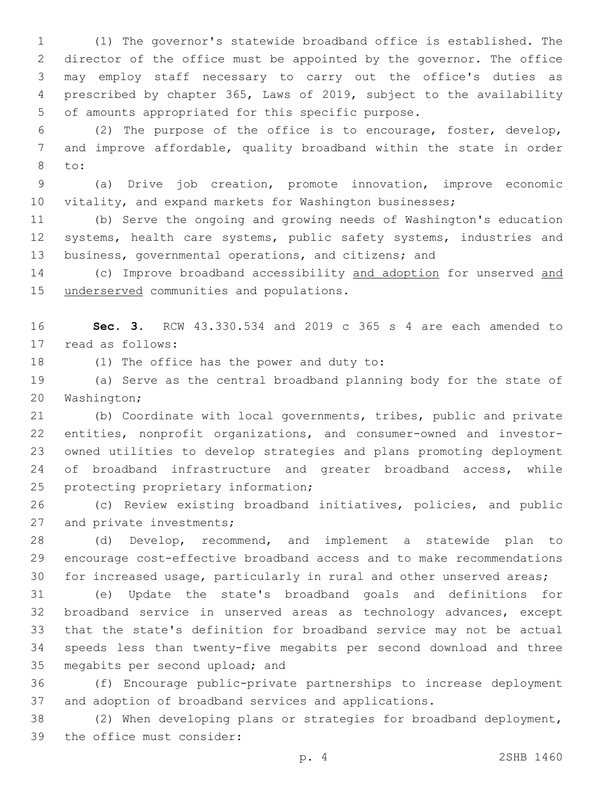(1) The governor's statewide broadband office is established. The director of the office must be appointed by the governor. The office may employ staff necessary to carry out the office's duties as prescribed by chapter 365, Laws of 2019, subject to the availability 5 of amounts appropriated for this specific purpose.

 (2) The purpose of the office is to encourage, foster, develop, and improve affordable, quality broadband within the state in order to:8

 (a) Drive job creation, promote innovation, improve economic vitality, and expand markets for Washington businesses;

 (b) Serve the ongoing and growing needs of Washington's education 12 systems, health care systems, public safety systems, industries and business, governmental operations, and citizens; and

14 (c) Improve broadband accessibility and adoption for unserved and 15 underserved communities and populations.

 **Sec. 3.** RCW 43.330.534 and 2019 c 365 s 4 are each amended to 17 read as follows:

18 (1) The office has the power and duty to:

 (a) Serve as the central broadband planning body for the state of 20 Washington;

 (b) Coordinate with local governments, tribes, public and private entities, nonprofit organizations, and consumer-owned and investor- owned utilities to develop strategies and plans promoting deployment of broadband infrastructure and greater broadband access, while 25 protecting proprietary information;

 (c) Review existing broadband initiatives, policies, and public 27 and private investments;

 (d) Develop, recommend, and implement a statewide plan to encourage cost-effective broadband access and to make recommendations for increased usage, particularly in rural and other unserved areas;

 (e) Update the state's broadband goals and definitions for broadband service in unserved areas as technology advances, except that the state's definition for broadband service may not be actual speeds less than twenty-five megabits per second download and three 35 megabits per second upload; and

 (f) Encourage public-private partnerships to increase deployment and adoption of broadband services and applications.

 (2) When developing plans or strategies for broadband deployment, 39 the office must consider: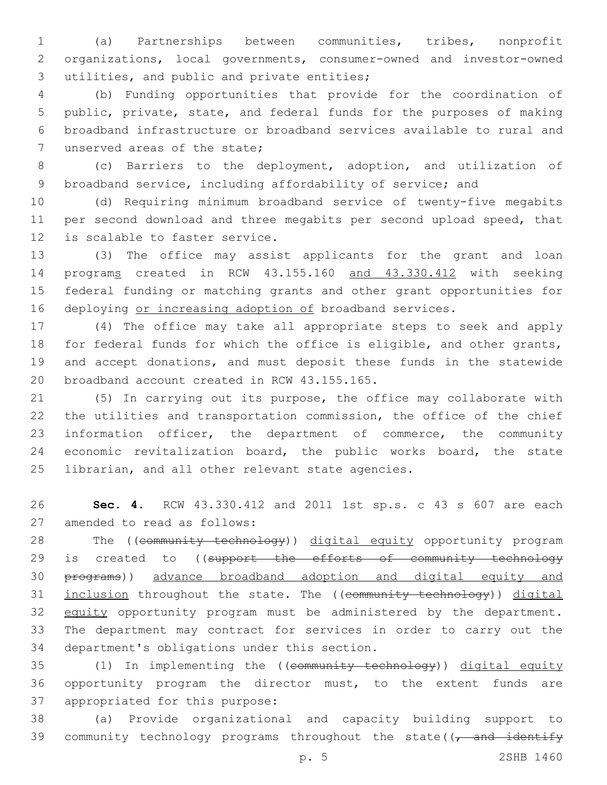(a) Partnerships between communities, tribes, nonprofit organizations, local governments, consumer-owned and investor-owned 3 utilities, and public and private entities;

 (b) Funding opportunities that provide for the coordination of public, private, state, and federal funds for the purposes of making broadband infrastructure or broadband services available to rural and 7 unserved areas of the state;

 (c) Barriers to the deployment, adoption, and utilization of broadband service, including affordability of service; and

 (d) Requiring minimum broadband service of twenty-five megabits per second download and three megabits per second upload speed, that 12 is scalable to faster service.

 (3) The office may assist applicants for the grant and loan programs created in RCW 43.155.160 and 43.330.412 with seeking federal funding or matching grants and other grant opportunities for 16 deploying or increasing adoption of broadband services.

 (4) The office may take all appropriate steps to seek and apply for federal funds for which the office is eligible, and other grants, and accept donations, and must deposit these funds in the statewide 20 broadband account created in RCW 43.155.165.

 (5) In carrying out its purpose, the office may collaborate with the utilities and transportation commission, the office of the chief information officer, the department of commerce, the community economic revitalization board, the public works board, the state 25 librarian, and all other relevant state agencies.

 **Sec. 4.** RCW 43.330.412 and 2011 1st sp.s. c 43 s 607 are each 27 amended to read as follows:

28 The ((community technology)) digital equity opportunity program 29 is created to ((support the efforts of community technology programs)) advance broadband adoption and digital equity and 31 inclusion throughout the state. The ((community technology)) digital 32 equity opportunity program must be administered by the department. The department may contract for services in order to carry out the 34 department's obligations under this section.

 (1) In implementing the ((community technology)) digital equity opportunity program the director must, to the extent funds are 37 appropriated for this purpose:

 (a) Provide organizational and capacity building support to 39 community technology programs throughout the state( $\sqrt{t}$  and identify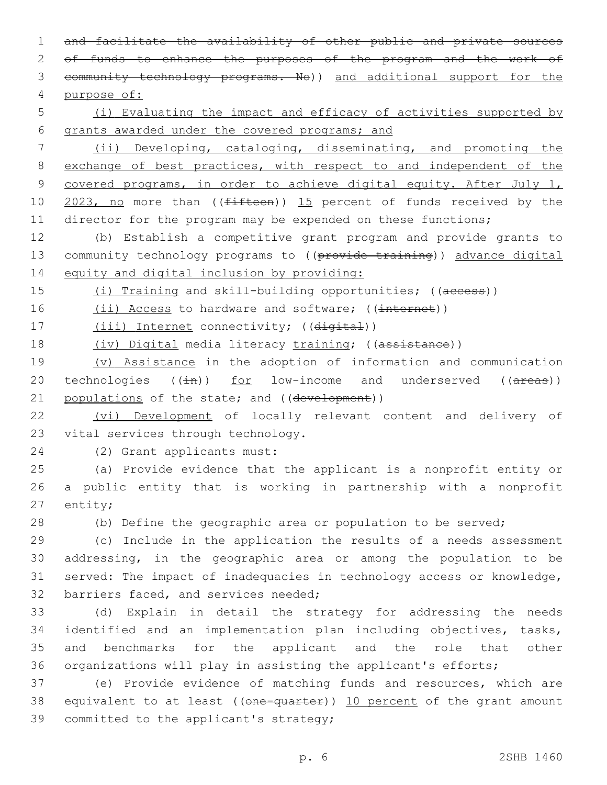and facilitate the availability of other public and private sources of funds to enhance the purposes of the program and the work of community technology programs. No)) and additional support for the purpose of:

5 (i) Evaluating the impact and efficacy of activities supported by 6 grants awarded under the covered programs; and

7 (ii) Developing, cataloging, disseminating, and promoting the 8 exchange of best practices, with respect to and independent of the 9 covered programs, in order to achieve digital equity. After July 1, 10 2023, no more than ((fifteen)) 15 percent of funds received by the 11 director for the program may be expended on these functions;

12 (b) Establish a competitive grant program and provide grants to 13 community technology programs to ((provide training)) advance digital 14 equity and digital inclusion by providing:

15 (i) Training and skill-building opportunities; ((access))

16 (ii) Access to hardware and software; ((internet))

17 (iii) Internet connectivity; ((digital))

18 (iv) Digital media literacy training; ((assistance))

19 (v) Assistance in the adoption of information and communication 20 technologies  $((\pm h))$  for low-income and underserved  $((\pm \pm \infty))$ 21 populations of the state; and ((development))

22 (vi) Development of locally relevant content and delivery of 23 vital services through technology.

(2) Grant applicants must:24

25 (a) Provide evidence that the applicant is a nonprofit entity or 26 a public entity that is working in partnership with a nonprofit 27 entity;

28 (b) Define the geographic area or population to be served;

 (c) Include in the application the results of a needs assessment addressing, in the geographic area or among the population to be served: The impact of inadequacies in technology access or knowledge, 32 barriers faced, and services needed;

 (d) Explain in detail the strategy for addressing the needs identified and an implementation plan including objectives, tasks, and benchmarks for the applicant and the role that other organizations will play in assisting the applicant's efforts;

37 (e) Provide evidence of matching funds and resources, which are 38 equivalent to at least ((one-quarter)) 10 percent of the grant amount 39 committed to the applicant's strategy;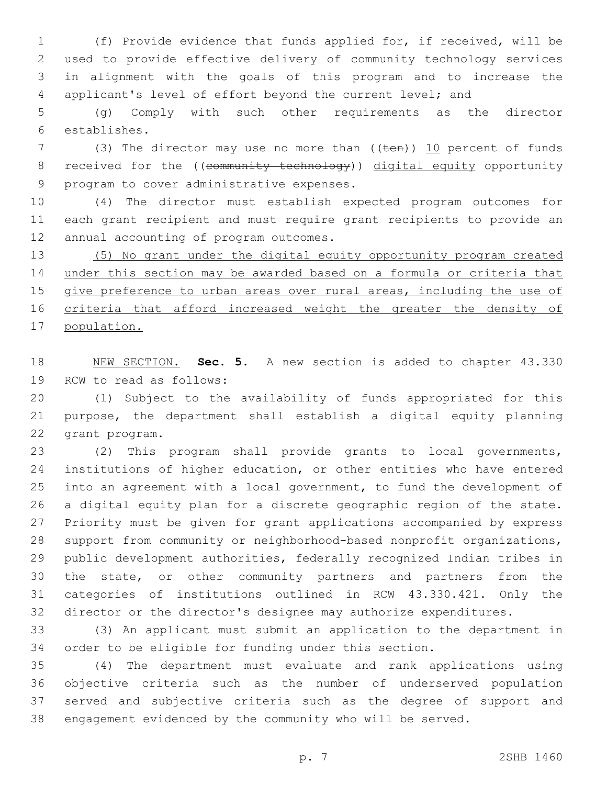(f) Provide evidence that funds applied for, if received, will be used to provide effective delivery of community technology services in alignment with the goals of this program and to increase the applicant's level of effort beyond the current level; and

 (g) Comply with such other requirements as the director establishes.6

7 (3) The director may use no more than ((ten)) 10 percent of funds 8 received for the ((community technology)) digital equity opportunity 9 program to cover administrative expenses.

 (4) The director must establish expected program outcomes for each grant recipient and must require grant recipients to provide an 12 annual accounting of program outcomes.

 (5) No grant under the digital equity opportunity program created under this section may be awarded based on a formula or criteria that give preference to urban areas over rural areas, including the use of criteria that afford increased weight the greater the density of population.

 NEW SECTION. **Sec. 5.** A new section is added to chapter 43.330 19 RCW to read as follows:

 (1) Subject to the availability of funds appropriated for this purpose, the department shall establish a digital equity planning 22 grant program.

 (2) This program shall provide grants to local governments, institutions of higher education, or other entities who have entered into an agreement with a local government, to fund the development of a digital equity plan for a discrete geographic region of the state. Priority must be given for grant applications accompanied by express support from community or neighborhood-based nonprofit organizations, public development authorities, federally recognized Indian tribes in the state, or other community partners and partners from the categories of institutions outlined in RCW 43.330.421. Only the director or the director's designee may authorize expenditures.

 (3) An applicant must submit an application to the department in order to be eligible for funding under this section.

 (4) The department must evaluate and rank applications using objective criteria such as the number of underserved population served and subjective criteria such as the degree of support and engagement evidenced by the community who will be served.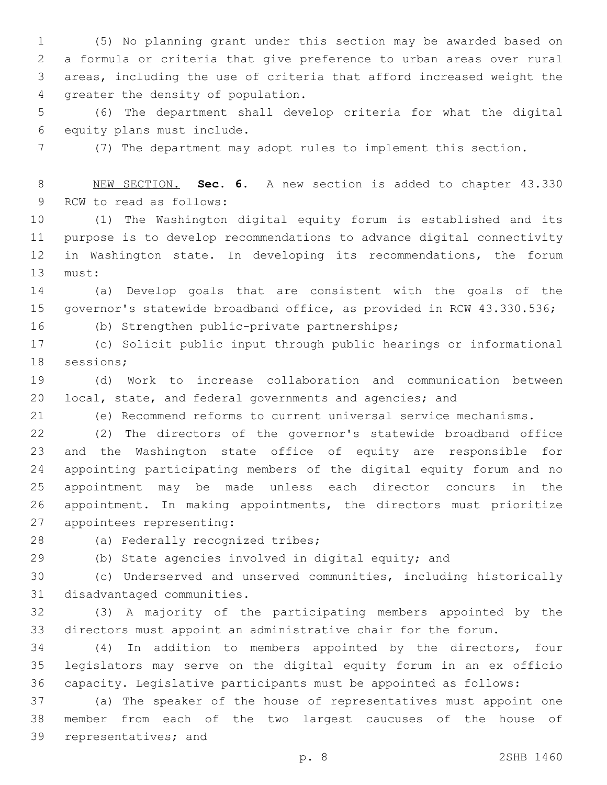(5) No planning grant under this section may be awarded based on a formula or criteria that give preference to urban areas over rural areas, including the use of criteria that afford increased weight the 4 greater the density of population.

 (6) The department shall develop criteria for what the digital 6 equity plans must include.

(7) The department may adopt rules to implement this section.

 NEW SECTION. **Sec. 6.** A new section is added to chapter 43.330 9 RCW to read as follows:

 (1) The Washington digital equity forum is established and its purpose is to develop recommendations to advance digital connectivity in Washington state. In developing its recommendations, the forum 13 must:

 (a) Develop goals that are consistent with the goals of the governor's statewide broadband office, as provided in RCW 43.330.536;

(b) Strengthen public-private partnerships;16

 (c) Solicit public input through public hearings or informational 18 sessions;

 (d) Work to increase collaboration and communication between local, state, and federal governments and agencies; and

(e) Recommend reforms to current universal service mechanisms.

 (2) The directors of the governor's statewide broadband office and the Washington state office of equity are responsible for appointing participating members of the digital equity forum and no appointment may be made unless each director concurs in the appointment. In making appointments, the directors must prioritize 27 appointees representing:

28 (a) Federally recognized tribes;

(b) State agencies involved in digital equity; and

 (c) Underserved and unserved communities, including historically 31 disadvantaged communities.

 (3) A majority of the participating members appointed by the directors must appoint an administrative chair for the forum.

 (4) In addition to members appointed by the directors, four legislators may serve on the digital equity forum in an ex officio capacity. Legislative participants must be appointed as follows:

 (a) The speaker of the house of representatives must appoint one member from each of the two largest caucuses of the house of 39 representatives; and